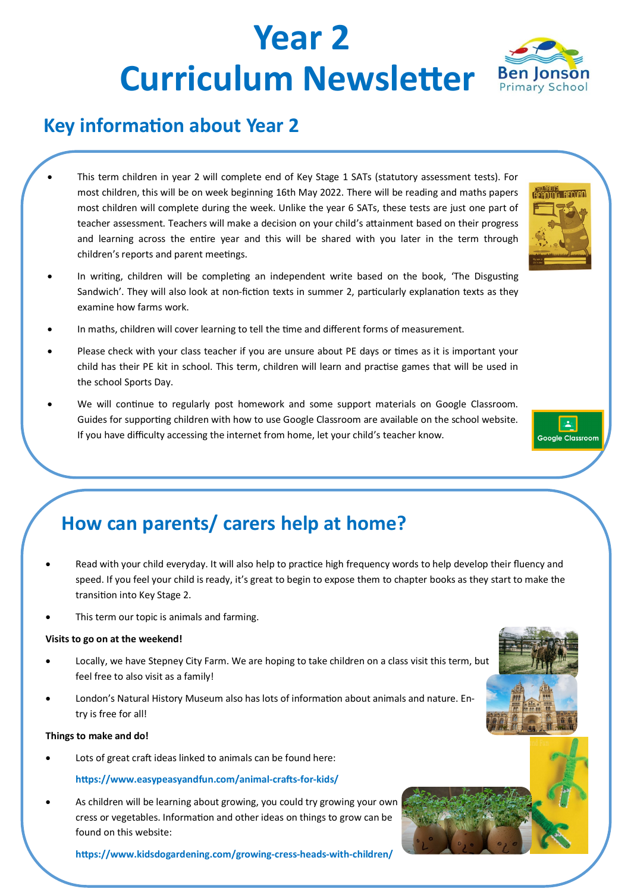# **Year 2 Curriculum Newsletter** Ben Jonson



- This term children in year 2 will complete end of Key Stage 1 SATs (statutory assessment tests). For most children, this will be on week beginning 16th May 2022. There will be reading and maths papers most children will complete during the week. Unlike the year 6 SATs, these tests are just one part of teacher assessment. Teachers will make a decision on your child's attainment based on their progress and learning across the entire year and this will be shared with you later in the term through children's reports and parent meetings.
- In writing, children will be completing an independent write based on the book, 'The Disgusting Sandwich'. They will also look at non-fiction texts in summer 2, particularly explanation texts as they examine how farms work.
- In maths, children will cover learning to tell the time and different forms of measurement.
- Please check with your class teacher if you are unsure about PE days or times as it is important your child has their PE kit in school. This term, children will learn and practise games that will be used in the school Sports Day.
- We will continue to regularly post homework and some support materials on Google Classroom. Guides for supporting children with how to use Google Classroom are available on the school website. If you have difficulty accessing the internet from home, let your child's teacher know.

### **How can parents/ carers help at home?**

- Read with your child everyday. It will also help to practice high frequency words to help develop their fluency and speed. If you feel your child is ready, it's great to begin to expose them to chapter books as they start to make the transition into Key Stage 2.
- This term our topic is animals and farming.

#### **Visits to go on at the weekend!**

- Locally, we have Stepney City Farm. We are hoping to take children on a class visit this term, but feel free to also visit as a family!
- London's Natural History Museum also has lots of information about animals and nature. Entry is free for all!

#### **Things to make and do!**

Lots of great craft ideas linked to animals can be found here:

#### **https://www.easypeasyandfun.com/animal-crafts-for-kids/**

• As children will be learning about growing, you could try growing your own cress or vegetables. Information and other ideas on things to grow can be found on this website:

**https://www.kidsdogardening.com/growing-cress-heads-with-children/**



READIOG RECORD